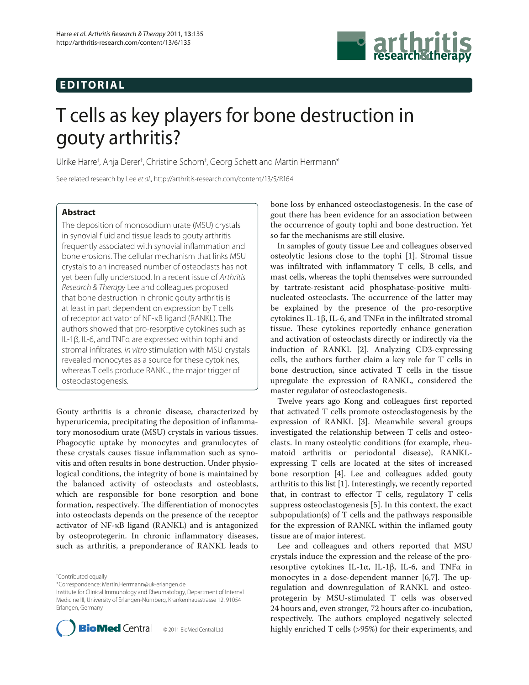## **EDITORIAL**



# T cells as key players for bone destruction in gouty arthritis?

Ulrike Harre† , Anja Derer† , Christine Schorn† , Georg Schett and Martin Herrmann\*

See related research by Lee et al., http://arthritis-research.com/content/13/5/R164

### **Abstract**

The deposition of monosodium urate (MSU) crystals in synovial fluid and tissue leads to gouty arthritis frequently associated with synovial inflammation and bone erosions. The cellular mechanism that links MSU crystals to an increased number of osteoclasts has not yet been fully understood. In a recent issue of Arthritis Research & Therapy Lee and colleagues proposed that bone destruction in chronic gouty arthritis is at least in part dependent on expression by T cells of receptor activator of NF-κB ligand (RANKL). The authors showed that pro-resorptive cytokines such as IL-1β, IL-6, and TNFα are expressed within tophi and stromal infiltrates. In vitro stimulation with MSU crystals revealed monocytes as a source for these cytokines, whereas T cells produce RANKL, the major trigger of osteoclastogenesis.

Gouty arthritis is a chronic disease, characterized by hyperuricemia, precipitating the deposition of inflammatory monosodium urate (MSU) crystals in various tissues. Phagocytic uptake by monocytes and granulocytes of these crystals causes tissue inflammation such as synovitis and often results in bone destruction. Under physiological conditions, the integrity of bone is maintained by the balanced activity of osteoclasts and osteoblasts, which are responsible for bone resorption and bone formation, respectively. The differentiation of monocytes into osteoclasts depends on the presence of the receptor activator of NF-κB ligand (RANKL) and is antagonized by osteoprotegerin. In chronic inflammatory diseases, such as arthritis, a preponderance of RANKL leads to

† Contributed equally

\*Correspondence: Martin.Herrmann@uk-erlangen.de

Institute for Clinical Immunology and Rheumatology, Department of Internal Medicine III, University of Erlangen-Nürnberg, Krankenhausstrasse 12, 91054 Erlangen, Germany



© 2011 BioMed Central Ltd

bone loss by enhanced osteoclastogenesis. In the case of gout there has been evidence for an association between the occurrence of gouty tophi and bone destruction. Yet so far the mechanisms are still elusive.

In samples of gouty tissue Lee and colleagues observed osteolytic lesions close to the tophi [1]. Stromal tissue was infiltrated with inflammatory  $T$  cells,  $B$  cells, and mast cells, whereas the tophi themselves were surrounded by tartrate-resistant acid phosphatase-positive multinucleated osteoclasts. The occurrence of the latter may be explained by the presence of the pro-resorptive cytokines IL-1β, IL-6, and TNF $\alpha$  in the infiltrated stromal tissue. These cytokines reportedly enhance generation and activation of osteoclasts directly or indirectly via the induction of RANKL [2]. Analyzing CD3-expressing cells, the authors further claim a key role for T cells in bone destruction, since activated T cells in the tissue upregulate the expression of RANKL, considered the master regulator of osteoclastogenesis.

Twelve years ago Kong and colleagues first reported that activated T cells promote osteoclastogenesis by the expression of RANKL [3]. Meanwhile several groups investigated the relationship between T cells and osteoclasts. In many osteolytic conditions (for example, rheuma toid arthritis or periodontal disease), RANKLexpressing T cells are located at the sites of increased bone resorption [4]. Lee and colleagues added gouty arthritis to this list [1]. Interestingly, we recently reported that, in contrast to effector  $T$  cells, regulatory  $T$  cells suppress osteoclastogenesis [5]. In this context, the exact subpopulation(s) of  $T$  cells and the pathways responsible for the expression of RANKL within the inflamed gouty tissue are of major interest.

Lee and colleagues and others reported that MSU crystals induce the expression and the release of the proresorptive cytokines IL-1α, IL-1β, IL-6, and TNFα in monocytes in a dose-dependent manner  $[6,7]$ . The upregulation and downregulation of RANKL and osteoprotegerin by MSU-stimulated T cells was observed 24 hours and, even stronger, 72 hours after co-incubation, respectively. The authors employed negatively selected highly enriched T cells (>95%) for their experiments, and